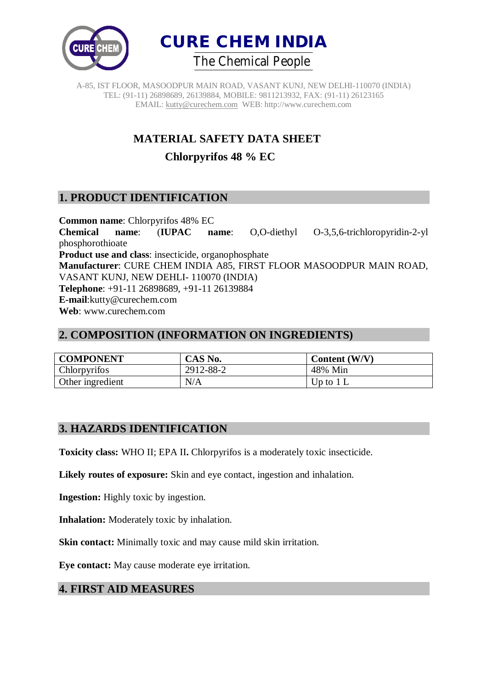



# **MATERIAL SAFETY DATA SHEET**

**Chlorpyrifos 48 % EC**

## **1. PRODUCT IDENTIFICATION**

**Common name**: Chlorpyrifos 48% EC **Chemical name**: (**IUPAC name**: O,O-diethyl O-3,5,6-trichloropyridin-2-yl phosphorothioate **Product use and class**: insecticide, organophosphate **Manufacturer**: CURE CHEM INDIA A85, FIRST FLOOR MASOODPUR MAIN ROAD, VASANT KUNJ, NEW DEHLI- 110070 (INDIA) **Telephone**: +91-11 26898689, +91-11 26139884 **E-mail**:kutty@curechem.com **Web**: www.curechem.com

### **2. COMPOSITION (INFORMATION ON INGREDIENTS)**

| <b>COMPONENT</b> | CAS No.   | Content (W/V) |
|------------------|-----------|---------------|
| Chlorpyrifos     | 2912-88-2 | 48% Min       |
| Other ingredient | N/A       | Up to $1 L$   |

### **3. HAZARDS IDENTIFICATION**

**Toxicity class:** WHO II; EPA II**.** Chlorpyrifos is a moderately toxic insecticide.

**Likely routes of exposure:** Skin and eye contact, ingestion and inhalation.

**Ingestion:** Highly toxic by ingestion.

**Inhalation:** Moderately toxic by inhalation.

**Skin contact:** Minimally toxic and may cause mild skin irritation.

**Eye contact:** May cause moderate eye irritation.

### **4. FIRST AID MEASURES**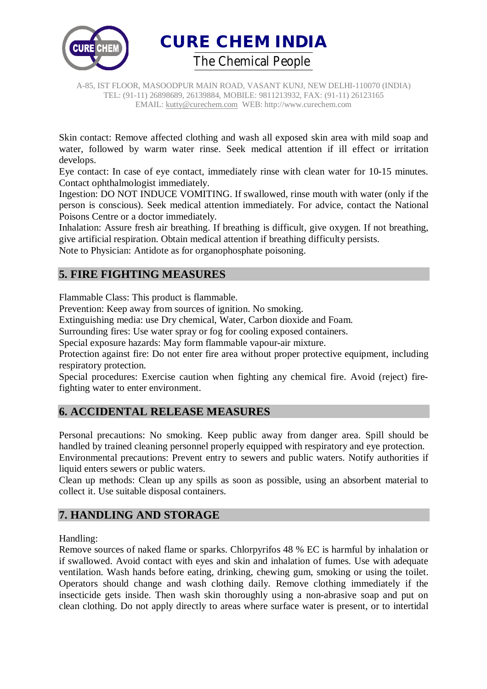



Skin contact: Remove affected clothing and wash all exposed skin area with mild soap and water, followed by warm water rinse. Seek medical attention if ill effect or irritation develops.

Eye contact: In case of eye contact, immediately rinse with clean water for 10-15 minutes. Contact ophthalmologist immediately.

Ingestion: DO NOT INDUCE VOMITING. If swallowed, rinse mouth with water (only if the person is conscious). Seek medical attention immediately. For advice, contact the National Poisons Centre or a doctor immediately.

Inhalation: Assure fresh air breathing. If breathing is difficult, give oxygen. If not breathing, give artificial respiration. Obtain medical attention if breathing difficulty persists.

Note to Physician: Antidote as for organophosphate poisoning.

### **5. FIRE FIGHTING MEASURES**

Flammable Class: This product is flammable.

Prevention: Keep away from sources of ignition. No smoking.

Extinguishing media: use Dry chemical, Water, Carbon dioxide and Foam.

Surrounding fires: Use water spray or fog for cooling exposed containers.

Special exposure hazards: May form flammable vapour-air mixture.

Protection against fire: Do not enter fire area without proper protective equipment, including respiratory protection.

Special procedures: Exercise caution when fighting any chemical fire. Avoid (reject) firefighting water to enter environment.

## **6. ACCIDENTAL RELEASE MEASURES**

Personal precautions: No smoking. Keep public away from danger area. Spill should be handled by trained cleaning personnel properly equipped with respiratory and eye protection.

Environmental precautions: Prevent entry to sewers and public waters. Notify authorities if liquid enters sewers or public waters.

Clean up methods: Clean up any spills as soon as possible, using an absorbent material to collect it. Use suitable disposal containers.

## **7. HANDLING AND STORAGE**

#### Handling:

Remove sources of naked flame or sparks. Chlorpyrifos 48 % EC is harmful by inhalation or if swallowed. Avoid contact with eyes and skin and inhalation of fumes. Use with adequate ventilation. Wash hands before eating, drinking, chewing gum, smoking or using the toilet. Operators should change and wash clothing daily. Remove clothing immediately if the insecticide gets inside. Then wash skin thoroughly using a non-abrasive soap and put on clean clothing. Do not apply directly to areas where surface water is present, or to intertidal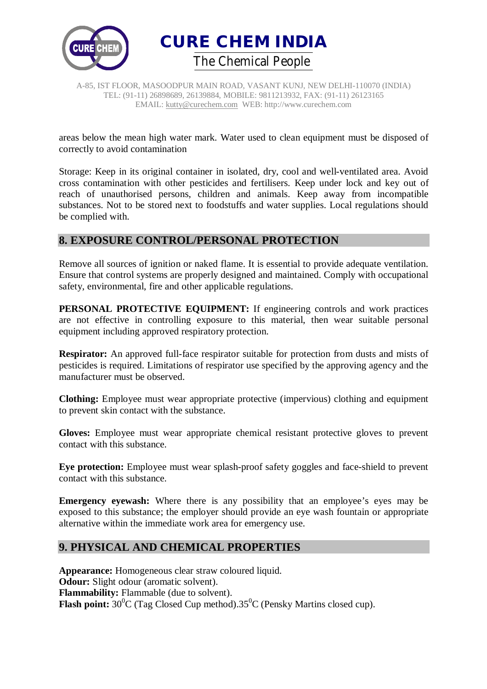



areas below the mean high water mark. Water used to clean equipment must be disposed of correctly to avoid contamination

Storage: Keep in its original container in isolated, dry, cool and well-ventilated area. Avoid cross contamination with other pesticides and fertilisers. Keep under lock and key out of reach of unauthorised persons, children and animals. Keep away from incompatible substances. Not to be stored next to foodstuffs and water supplies. Local regulations should be complied with.

### **8. EXPOSURE CONTROL/PERSONAL PROTECTION**

Remove all sources of ignition or naked flame. It is essential to provide adequate ventilation. Ensure that control systems are properly designed and maintained. Comply with occupational safety, environmental, fire and other applicable regulations.

**PERSONAL PROTECTIVE EQUIPMENT:** If engineering controls and work practices are not effective in controlling exposure to this material, then wear suitable personal equipment including approved respiratory protection.

**Respirator:** An approved full-face respirator suitable for protection from dusts and mists of pesticides is required. Limitations of respirator use specified by the approving agency and the manufacturer must be observed.

**Clothing:** Employee must wear appropriate protective (impervious) clothing and equipment to prevent skin contact with the substance.

**Gloves:** Employee must wear appropriate chemical resistant protective gloves to prevent contact with this substance.

**Eye protection:** Employee must wear splash-proof safety goggles and face-shield to prevent contact with this substance.

**Emergency eyewash:** Where there is any possibility that an employee's eyes may be exposed to this substance; the employer should provide an eye wash fountain or appropriate alternative within the immediate work area for emergency use.

### **9. PHYSICAL AND CHEMICAL PROPERTIES**

**Appearance:** Homogeneous clear straw coloured liquid. **Odour:** Slight odour (aromatic solvent). **Flammability:** Flammable (due to solvent). **Flash point:**  $30^0C$  (Tag Closed Cup method).  $35^0C$  (Pensky Martins closed cup).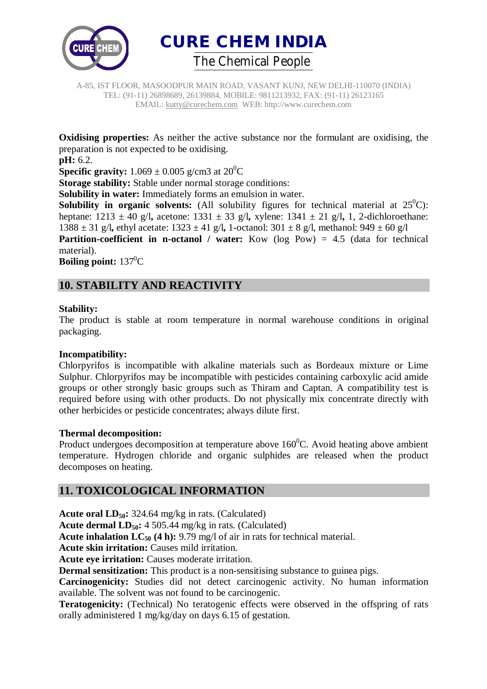



**Oxidising properties:** As neither the active substance nor the formulant are oxidising, the preparation is not expected to be oxidising.

**pH:** 6.2.

**Specific gravity:**  $1.069 \pm 0.005$  g/cm3 at  $20^0$ C

**Storage stability:** Stable under normal storage conditions:

**Solubility in water:** Immediately forms an emulsion in water.

**Solubility in organic solvents:** (All solubility figures for technical material at  $25^{\circ}$ C): heptane: 1213 ± 40 g/l**,** acetone: 1331 ± 33 g/l**,** xylene: 1341 ± 21 g/l**,** 1, 2-dichloroethane: 1388 ± 31 g/l**,** ethyl acetate: 1323 ± 41 g/l**,** 1-octanol: 301 ± 8 g/l, methanol: 949 ± 60 g/l

**Partition-coefficient in n-octanol / water:** Kow (log Pow) = 4.5 (data for technical material).

**Boiling point:** 137<sup>0</sup>C

### **10. STABILITY AND REACTIVITY**

#### **Stability:**

The product is stable at room temperature in normal warehouse conditions in original packaging.

#### **Incompatibility:**

Chlorpyrifos is incompatible with alkaline materials such as Bordeaux mixture or Lime Sulphur. Chlorpyrifos may be incompatible with pesticides containing carboxylic acid amide groups or other strongly basic groups such as Thiram and Captan. A compatibility test is required before using with other products. Do not physically mix concentrate directly with other herbicides or pesticide concentrates; always dilute first.

#### **Thermal decomposition:**

Product undergoes decomposition at temperature above  $160^{\circ}$ C. Avoid heating above ambient temperature. Hydrogen chloride and organic sulphides are released when the product decomposes on heating.

### **11. TOXICOLOGICAL INFORMATION**

**Acute oral LD50:** 324.64 mg/kg in rats. (Calculated)

**Acute dermal LD50:** 4 505.44 mg/kg in rats. (Calculated)

**Acute inhalation LC<sup>50</sup> (4 h):** 9.79 mg/l of air in rats for technical material.

**Acute skin irritation:** Causes mild irritation.

**Acute eye irritation:** Causes moderate irritation.

**Dermal sensitization:** This product is a non-sensitising substance to guinea pigs.

**Carcinogenicity:** Studies did not detect carcinogenic activity. No human information available. The solvent was not found to be carcinogenic.

**Teratogenicity:** (Technical) No teratogenic effects were observed in the offspring of rats orally administered 1 mg/kg/day on days 6.15 of gestation.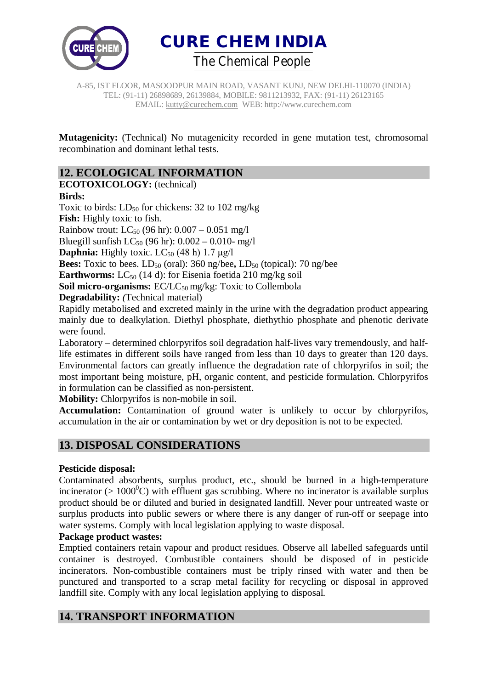



**Mutagenicity:** (Technical) No mutagenicity recorded in gene mutation test, chromosomal recombination and dominant lethal tests.

### **12. ECOLOGICAL INFORMATION**

**ECOTOXICOLOGY:** (technical)

#### **Birds:**

Toxic to birds:  $LD_{50}$  for chickens: 32 to 102 mg/kg

**Fish:** Highly toxic to fish.

Rainbow trout:  $LC_{50}$  (96 hr):  $0.007 - 0.051$  mg/l

Bluegill sunfish  $LC_{50}$  (96 hr):  $0.002 - 0.010 - mg/l$ 

**Daphnia:** Highly toxic.  $LC_{50}$  (48 h) 1.7  $\mu$ g/l

**Bees:** Toxic to bees.  $LD_{50}$  (oral): 360 ng/bee,  $LD_{50}$  (topical): 70 ng/bee

**Earthworms:** LC<sub>50</sub> (14 d): for Eisenia foetida 210 mg/kg soil

**Soil micro-organisms:** EC/LC<sub>50</sub> mg/kg: Toxic to Collembola

**Degradability:** *(*Technical material)

Rapidly metabolised and excreted mainly in the urine with the degradation product appearing mainly due to dealkylation. Diethyl phosphate, diethythio phosphate and phenotic derivate were found.

Laboratory – determined chlorpyrifos soil degradation half-lives vary tremendously, and halflife estimates in different soils have ranged from **l**ess than 10 days to greater than 120 days. Environmental factors can greatly influence the degradation rate of chlorpyrifos in soil; the most important being moisture, pH, organic content, and pesticide formulation. Chlorpyrifos in formulation can be classified as non-persistent.

**Mobility:** Chlorpyrifos is non-mobile in soil.

**Accumulation:** Contamination of ground water is unlikely to occur by chlorpyrifos, accumulation in the air or contamination by wet or dry deposition is not to be expected.

## **13. DISPOSAL CONSIDERATIONS**

#### **Pesticide disposal:**

Contaminated absorbents, surplus product, etc., should be burned in a high-temperature incinerator ( $> 1000^{\circ}$ C) with effluent gas scrubbing. Where no incinerator is available surplus product should be or diluted and buried in designated landfill. Never pour untreated waste or surplus products into public sewers or where there is any danger of run-off or seepage into water systems. Comply with local legislation applying to waste disposal.

#### **Package product wastes:**

Emptied containers retain vapour and product residues. Observe all labelled safeguards until container is destroyed. Combustible containers should be disposed of in pesticide incinerators. Non-combustible containers must be triply rinsed with water and then be punctured and transported to a scrap metal facility for recycling or disposal in approved landfill site. Comply with any local legislation applying to disposal.

### **14. TRANSPORT INFORMATION**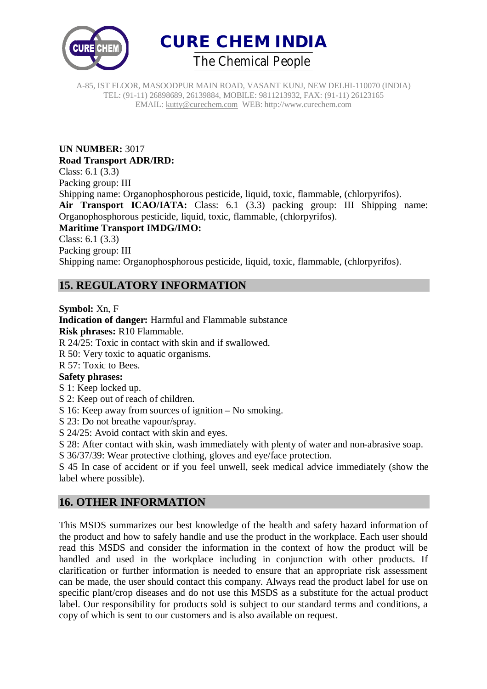



**UN NUMBER:** 3017 **Road Transport ADR/IRD:** Class: 6.1 (3.3) Packing group: III Shipping name: Organophosphorous pesticide, liquid, toxic, flammable, (chlorpyrifos). **Air Transport ICAO/IATA:** Class: 6.1 (3.3) packing group: III Shipping name: Organophosphorous pesticide, liquid, toxic, flammable, (chlorpyrifos). **Maritime Transport IMDG/IMO:** Class: 6.1 (3.3) Packing group: III Shipping name: Organophosphorous pesticide, liquid, toxic, flammable, (chlorpyrifos).

## **15. REGULATORY INFORMATION**

**Symbol:** Xn, F

**Indication of danger:** Harmful and Flammable substance **Risk phrases:** R10 Flammable. R 24/25: Toxic in contact with skin and if swallowed. R 50: Very toxic to aquatic organisms. R 57: Toxic to Bees. **Safety phrases:** S 1: Keep locked up. S 2: Keep out of reach of children. S 16: Keep away from sources of ignition – No smoking. S 23: Do not breathe vapour/spray. S 24/25: Avoid contact with skin and eyes.

S 28: After contact with skin, wash immediately with plenty of water and non-abrasive soap.

S 36/37/39: Wear protective clothing, gloves and eye/face protection.

S 45 In case of accident or if you feel unwell, seek medical advice immediately (show the label where possible).

## **16. OTHER INFORMATION**

This MSDS summarizes our best knowledge of the health and safety hazard information of the product and how to safely handle and use the product in the workplace. Each user should read this MSDS and consider the information in the context of how the product will be handled and used in the workplace including in conjunction with other products. If clarification or further information is needed to ensure that an appropriate risk assessment can be made, the user should contact this company. Always read the product label for use on specific plant/crop diseases and do not use this MSDS as a substitute for the actual product label. Our responsibility for products sold is subject to our standard terms and conditions, a copy of which is sent to our customers and is also available on request.